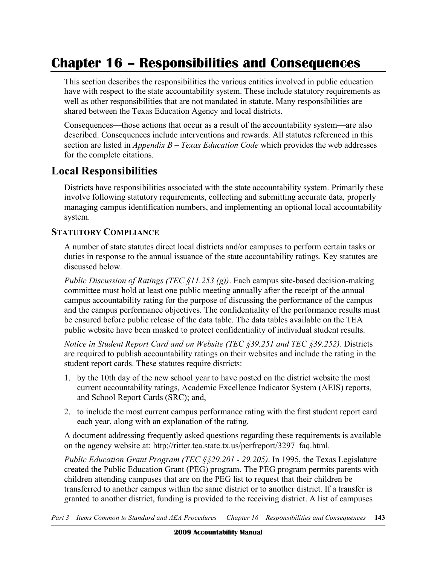# **Chapter 16 – Responsibilities and Consequences**

This section describes the responsibilities the various entities involved in public education have with respect to the state accountability system. These include statutory requirements as well as other responsibilities that are not mandated in statute. Many responsibilities are shared between the Texas Education Agency and local districts.

Consequences—those actions that occur as a result of the accountability system—are also described. Consequences include interventions and rewards. All statutes referenced in this section are listed in *Appendix B – Texas Education Code* which provides the web addresses for the complete citations.

# **Local Responsibilities**

Districts have responsibilities associated with the state accountability system. Primarily these involve following statutory requirements, collecting and submitting accurate data, properly managing campus identification numbers, and implementing an optional local accountability system.

#### **STATUTORY COMPLIANCE**

A number of state statutes direct local districts and/or campuses to perform certain tasks or duties in response to the annual issuance of the state accountability ratings. Key statutes are discussed below.

*Public Discussion of Ratings (TEC §11.253 (g))*. Each campus site-based decision-making committee must hold at least one public meeting annually after the receipt of the annual campus accountability rating for the purpose of discussing the performance of the campus and the campus performance objectives. The confidentiality of the performance results must be ensured before public release of the data table. The data tables available on the TEA public website have been masked to protect confidentiality of individual student results.

*Notice in Student Report Card and on Website (TEC §39.251 and TEC §39.252).* Districts are required to publish accountability ratings on their websites and include the rating in the student report cards. These statutes require districts:

- 1. by the 10th day of the new school year to have posted on the district website the most current accountability ratings, Academic Excellence Indicator System (AEIS) reports, and School Report Cards (SRC); and,
- 2. to include the most current campus performance rating with the first student report card each year, along with an explanation of the rating.

A document addressing frequently asked questions regarding these requirements is available on the agency website at: http://ritter.tea.state.tx.us/perfreport/3297 faq.html.

*Public Education Grant Program (TEC §§29.201 - 29.205)*. In 1995, the Texas Legislature created the Public Education Grant (PEG) program. The PEG program permits parents with children attending campuses that are on the PEG list to request that their children be transferred to another campus within the same district or to another district. If a transfer is granted to another district, funding is provided to the receiving district. A list of campuses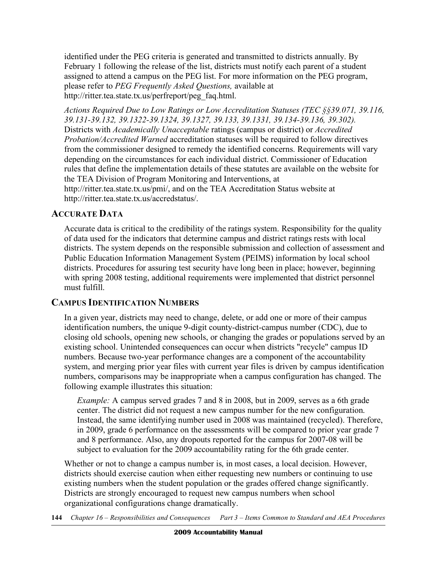identified under the PEG criteria is generated and transmitted to districts annually. By February 1 following the release of the list, districts must notify each parent of a student assigned to attend a campus on the PEG list. For more information on the PEG program, please refer to *PEG Frequently Asked Questions,* available at http://ritter.tea.state.tx.us/perfreport/peg\_faq.html.

 *Actions Required Due to Low Ratings or Low Accreditation Statuses (TEC §§39.071, 39.116, 39.131-39.132, 39.1322-39.1324, 39.1327, 39.133, 39.1331, 39.134-39.136, 39.302).*  Districts with *Academically Unacceptable* ratings (campus or district) or *Accredited Probation/Accredited Warned* accreditation statuses will be required to follow directives from the commissioner designed to remedy the identified concerns. Requirements will vary depending on the circumstances for each individual district. Commissioner of Education rules that define the implementation details of these statutes are available on the website for the TEA Division of Program Monitoring and Interventions, at

 http://ritter.tea.state.tx.us/pmi/, and on the TEA Accreditation Status website at http://ritter.tea.state.tx.us/accredstatus/.

#### **ACCURATE DATA**

 Accurate data is critical to the credibility of the ratings system. Responsibility for the quality of data used for the indicators that determine campus and district ratings rests with local districts. The system depends on the responsible submission and collection of assessment and Public Education Information Management System (PEIMS) information by local school districts. Procedures for assuring test security have long been in place; however, beginning with spring 2008 testing, additional requirements were implemented that district personnel must fulfill.

## **CAMPUS IDENTIFICATION NUMBERS**

 In a given year, districts may need to change, delete, or add one or more of their campus identification numbers, the unique 9-digit county-district-campus number (CDC), due to closing old schools, opening new schools, or changing the grades or populations served by an existing school. Unintended consequences can occur when districts "recycle" campus ID numbers. Because two-year performance changes are a component of the accountability system, and merging prior year files with current year files is driven by campus identification numbers, comparisons may be inappropriate when a campus configuration has changed. The following example illustrates this situation:

 *Example:* A campus served grades 7 and 8 in 2008, but in 2009, serves as a 6th grade center. The district did not request a new campus number for the new configuration. Instead, the same identifying number used in 2008 was maintained (recycled). Therefore, in 2009, grade 6 performance on the assessments will be compared to prior year grade 7 and 8 performance. Also, any dropouts reported for the campus for 2007-08 will be subject to evaluation for the 2009 accountability rating for the 6th grade center.

 Whether or not to change a campus number is, in most cases, a local decision. However, districts should exercise caution when either requesting new numbers or continuing to use existing numbers when the student population or the grades offered change significantly. Districts are strongly encouraged to request new campus numbers when school organizational configurations change dramatically.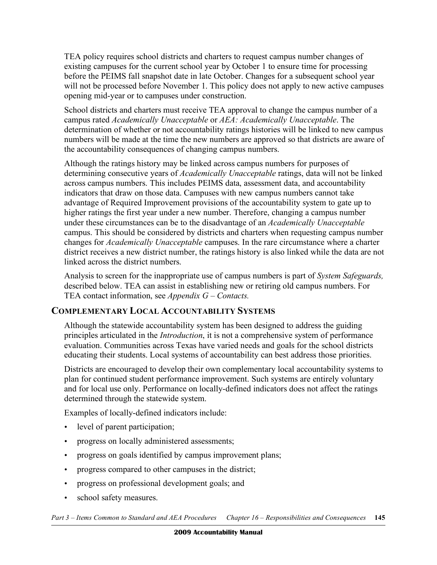TEA policy requires school districts and charters to request campus number changes of existing campuses for the current school year by October 1 to ensure time for processing before the PEIMS fall snapshot date in late October. Changes for a subsequent school year will not be processed before November 1. This policy does not apply to new active campuses opening mid-year or to campuses under construction.

 School districts and charters must receive TEA approval to change the campus number of a campus rated *Academically Unacceptable* or *AEA: Academically Unacceptable*. The determination of whether or not accountability ratings histories will be linked to new campus numbers will be made at the time the new numbers are approved so that districts are aware of the accountability consequences of changing campus numbers.

 Although the ratings history may be linked across campus numbers for purposes of determining consecutive years of *Academically Unacceptable* ratings, data will not be linked across campus numbers. This includes PEIMS data, assessment data, and accountability indicators that draw on those data. Campuses with new campus numbers cannot take advantage of Required Improvement provisions of the accountability system to gate up to higher ratings the first year under a new number. Therefore, changing a campus number under these circumstances can be to the disadvantage of an *Academically Unacceptable*  campus. This should be considered by districts and charters when requesting campus number changes for *Academically Unacceptable* campuses. In the rare circumstance where a charter district receives a new district number, the ratings history is also linked while the data are not linked across the district numbers.

 Analysis to screen for the inappropriate use of campus numbers is part of *System Safeguards,*  described below. TEA can assist in establishing new or retiring old campus numbers. For TEA contact information, see *Appendix G – Contacts.* 

## **COMPLEMENTARY LOCAL ACCOUNTABILITY SYSTEMS**

 Although the statewide accountability system has been designed to address the guiding principles articulated in the *Introduction*, it is not a comprehensive system of performance evaluation. Communities across Texas have varied needs and goals for the school districts educating their students. Local systems of accountability can best address those priorities.

 Districts are encouraged to develop their own complementary local accountability systems to plan for continued student performance improvement. Such systems are entirely voluntary and for local use only. Performance on locally-defined indicators does not affect the ratings determined through the statewide system.

Examples of locally-defined indicators include:

- level of parent participation;
- progress on locally administered assessments;
- progress on goals identified by campus improvement plans;
- progress compared to other campuses in the district;
- progress on professional development goals; and
- school safety measures.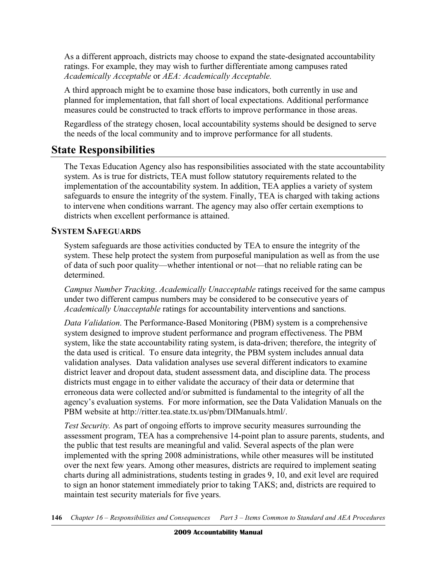As a different approach, districts may choose to expand the state-designated accountability ratings. For example, they may wish to further differentiate among campuses rated  *Academically Acceptable* or *AEA: Academically Acceptable.* 

 A third approach might be to examine those base indicators, both currently in use and planned for implementation, that fall short of local expectations. Additional performance measures could be constructed to track efforts to improve performance in those areas.

 Regardless of the strategy chosen, local accountability systems should be designed to serve the needs of the local community and to improve performance for all students.

# **State Responsibilities**

 The Texas Education Agency also has responsibilities associated with the state accountability system. As is true for districts, TEA must follow statutory requirements related to the implementation of the accountability system. In addition, TEA applies a variety of system safeguards to ensure the integrity of the system. Finally, TEA is charged with taking actions to intervene when conditions warrant. The agency may also offer certain exemptions to districts when excellent performance is attained.

## **SYSTEM SAFEGUARDS**

 System safeguards are those activities conducted by TEA to ensure the integrity of the system. These help protect the system from purposeful manipulation as well as from the use of data of such poor quality—whether intentional or not—that no reliable rating can be determined.

 *Campus Number Tracking*. *Academically Unacceptable* ratings received for the same campus under two different campus numbers may be considered to be consecutive years of *Academically Unacceptable* ratings for accountability interventions and sanctions.

 *Data Validation*. The Performance-Based Monitoring (PBM) system is a comprehensive system designed to improve student performance and program effectiveness. The PBM system, like the state accountability rating system, is data-driven; therefore, the integrity of the data used is critical. To ensure data integrity, the PBM system includes annual data validation analyses. Data validation analyses use several different indicators to examine district leaver and dropout data, student assessment data, and discipline data. The process districts must engage in to either validate the accuracy of their data or determine that erroneous data were collected and/or submitted is fundamental to the integrity of all the agency's evaluation systems. For more information, see the Data Validation Manuals on the PBM website at http://ritter.tea.state.tx.us/pbm/DIManuals.html/.

 *Test Security.* As part of ongoing efforts to improve security measures surrounding the assessment program, TEA has a comprehensive 14-point plan to assure parents, students, and the public that test results are meaningful and valid. Several aspects of the plan were implemented with the spring 2008 administrations, while other measures will be instituted over the next few years. Among other measures, districts are required to implement seating charts during all administrations, students testing in grades 9, 10, and exit level are required to sign an honor statement immediately prior to taking TAKS; and, districts are required to maintain test security materials for five years.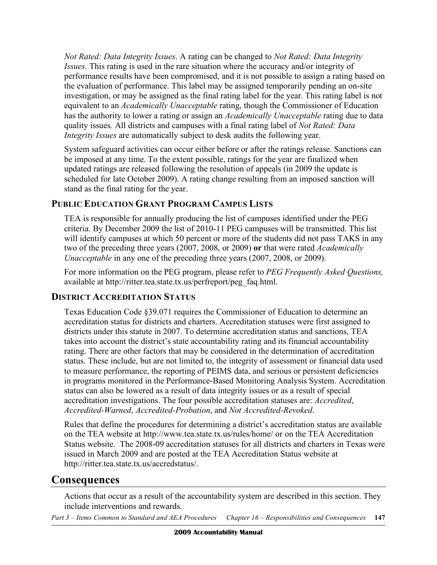*Not Rated: Data Integrity Issues*. A rating can be changed to *Not Rated: Data Integrity Issues*. This rating is used in the rare situation where the accuracy and/or integrity of performance results have been compromised, and it is not possible to assign a rating based on the evaluation of performance. This label may be assigned temporarily pending an on-site investigation, or may be assigned as the final rating label for the year. This rating label is not equivalent to an *Academically Unacceptable* rating, though the Commissioner of Education has the authority to lower a rating or assign an *Academically Unacceptable* rating due to data quality issues*.* All districts and campuses with a final rating label of *Not Rated: Data Integrity Issues* are automatically subject to desk audits the following year.

 System safeguard activities can occur either before or after the ratings release. Sanctions can be imposed at any time. To the extent possible, ratings for the year are finalized when updated ratings are released following the resolution of appeals (in 2009 the update is scheduled for late October 2009). A rating change resulting from an imposed sanction will stand as the final rating for the year.

## **PUBLIC EDUCATION GRANT PROGRAM CAMPUS LISTS**

 TEA is responsible for annually producing the list of campuses identified under the PEG criteria. By December 2009 the list of 2010-11 PEG campuses will be transmitted. This list will identify campuses at which 50 percent or more of the students did not pass TAKS in any two of the preceding three years (2007, 2008, or 2009) **or** that were rated *Academically Unacceptable* in any one of the preceding three years (2007, 2008, or 2009).

 For more information on the PEG program, please refer to *PEG Frequently Asked Questions,*  available at http://ritter.tea.state.tx.us/perfreport/peg\_faq.html.

## **DISTRICT ACCREDITATION STATUS**

 Texas Education Code §39.071 requires the Commissioner of Education to determine an accreditation status for districts and charters. Accreditation statuses were first assigned to districts under this statute in 2007. To determine accreditation status and sanctions, TEA takes into account the district's state accountability rating and its financial accountability rating. There are other factors that may be considered in the determination of accreditation status. These include, but are not limited to, the integrity of assessment or financial data used to measure performance, the reporting of PEIMS data, and serious or persistent deficiencies in programs monitored in the Performance-Based Monitoring Analysis System. Accreditation status can also be lowered as a result of data integrity issues or as a result of special accreditation investigations. The four possible accreditation statuses are: *Accredited*, *Accredited-Warned*, *Accredited-Probation*, and *Not Accredited-Revoked*.

 Rules that define the procedures for determining a district's accreditation status are available on the TEA website at http://www.tea.state.tx.us/rules/home/ or on the TEA Accreditation Status website. The 2008-09 accreditation statuses for all districts and charters in Texas were issued in March 2009 and are posted at the TEA Accreditation Status website at http://ritter.tea.state.tx.us/accredstatus/.

# **Consequences**

 Actions that occur as a result of the accountability system are described in this section. They include interventions and rewards.

 *Part 3 – Items Common to Standard and AEA Procedures Chapter 16 – Responsibilities and Consequences* **147**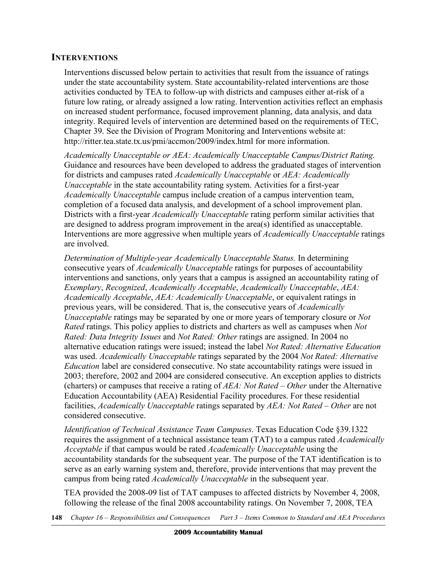#### **INTERVENTIONS**

 Interventions discussed below pertain to activities that result from the issuance of ratings under the state accountability system. State accountability-related interventions are those activities conducted by TEA to follow-up with districts and campuses either at-risk of a future low rating, or already assigned a low rating. Intervention activities reflect an emphasis integrity. Required levels of intervention are determined based on the requirements of TEC, Chapter 39. See the Division of Program Monitoring and Interventions website at: http://ritter.tea.state.tx.us/pmi/accmon/2009/index.html for more information. on increased student performance, focused improvement planning, data analysis, and data

 *Academically Unacceptable or AEA: Academically Unacceptable Campus/District Rating.*  Guidance and resources have been developed to address the graduated stages of intervention for districts and campuses rated *Academically Unacceptable* or *AEA: Academically Unacceptable* in the state accountability rating system. Activities for a first-year *Academically Unacceptable* campus include creation of a campus intervention team, completion of a focused data analysis, and development of a school improvement plan. Districts with a first-year *Academically Unacceptable* rating perform similar activities that are designed to address program improvement in the area(s) identified as unacceptable. Interventions are more aggressive when multiple years of *Academically Unacceptable* ratings are involved.

 *Determination of Multiple-year Academically Unacceptable Status.* In determining consecutive years of *Academically Unacceptable* ratings for purposes of accountability interventions and sanctions, only years that a campus is assigned an accountability rating of *Academically Acceptable*, *AEA: Academically Unacceptable*, or equivalent ratings in previous years, will be considered. That is, the consecutive years of *Academically Unacceptable* ratings may be separated by one or more years of temporary closure or *Not Rated* ratings. This policy applies to districts and charters as well as campuses when *Not Rated: Data Integrity Issues* and *Not Rated: Other* ratings are assigned. In 2004 no alternative education ratings were issued; instead the label *Not Rated: Alternative Education*  was used. *Academically Unacceptable* ratings separated by the 2004 *Not Rated: Alternative Education* label are considered consecutive. No state accountability ratings were issued in 2003; therefore, 2002 and 2004 are considered consecutive. An exception applies to districts (charters) or campuses that receive a rating of *AEA: Not Rated* – *Other* under the Alternative Education Accountability (AEA) Residential Facility procedures. For these residential facilities, *Academically Unacceptable* ratings separated by *AEA: Not Rated – Other* are not *Exemplary*, *Recognized*, *Academically Acceptable*, *Academically Unacceptable*, *AEA:*  considered consecutive.

 *Identification of Technical Assistance Team Campuses*. Texas Education Code §39.1322 requires the assignment of a technical assistance team (TAT) to a campus rated *Academically Acceptable* if that campus would be rated *Academically Unacceptable* using the accountability standards for the subsequent year. The purpose of the TAT identification is to serve as an early warning system and, therefore, provide interventions that may prevent the campus from being rated *Academically Unacceptable* in the subsequent year.

 TEA provided the 2008-09 list of TAT campuses to affected districts by November 4, 2008, following the release of the final 2008 accountability ratings. On November 7, 2008, TEA